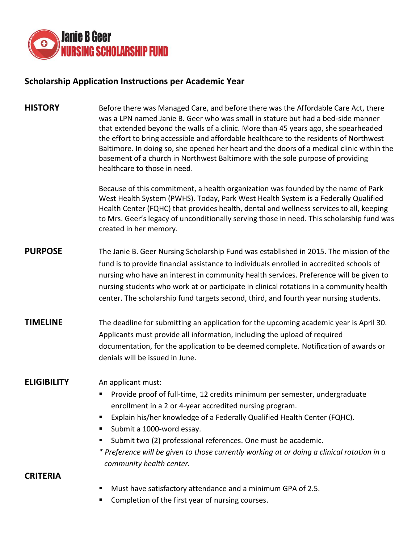

# **Scholarship Application Instructions per Academic Year**

**HISTORY** Before there was Managed Care, and before there was the Affordable Care Act, there was a LPN named Janie B. Geer who was small in stature but had a bed-side manner that extended beyond the walls of a clinic. More than 45 years ago, she spearheaded the effort to bring accessible and affordable healthcare to the residents of Northwest Baltimore. In doing so, she opened her heart and the doors of a medical clinic within the basement of a church in Northwest Baltimore with the sole purpose of providing healthcare to those in need.

> Because of this commitment, a health organization was founded by the name of Park West Health System (PWHS). Today, Park West Health System is a Federally Qualified Health Center (FQHC) that provides health, dental and wellness services to all, keeping to Mrs. Geer's legacy of unconditionally serving those in need. This scholarship fund was created in her memory.

- **PURPOSE** The Janie B. Geer Nursing Scholarship Fund was established in 2015. The mission of the fund is to provide financial assistance to individuals enrolled in accredited schools of nursing who have an interest in community health services. Preference will be given to nursing students who work at or participate in clinical rotations in a community health center. The scholarship fund targets second, third, and fourth year nursing students.
- **TIMELINE** The deadline for submitting an application for the upcoming academic year is April 30. Applicants must provide all information, including the upload of required documentation, for the application to be deemed complete. Notification of awards or denials will be issued in June.

#### **ELIGIBILITY** An applicant must:

- **Provide proof of full-time, 12 credits minimum per semester, undergraduate** enrollment in a 2 or 4-year accredited nursing program.
- Explain his/her knowledge of a Federally Qualified Health Center (FQHC).
- Submit a 1000-word essay.
- Submit two (2) professional references. One must be academic.
- *\* Preference will be given to those currently working at or doing a clinical rotation in a community health center.*

#### **CRITERIA**

- Must have satisfactory attendance and a minimum GPA of 2.5.
- Completion of the first year of nursing courses.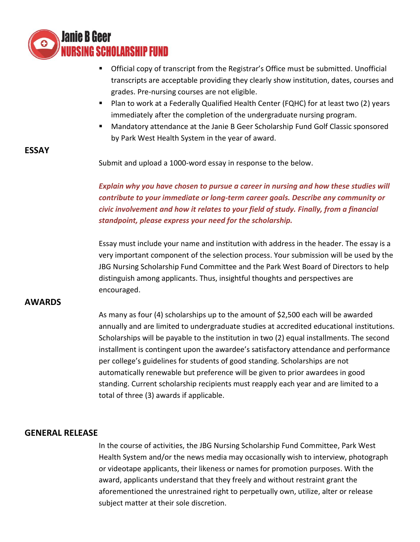

- Official copy of transcript from the Registrar's Office must be submitted. Unofficial transcripts are acceptable providing they clearly show institution, dates, courses and grades. Pre-nursing courses are not eligible.
- Plan to work at a Federally Qualified Health Center (FQHC) for at least two (2) years immediately after the completion of the undergraduate nursing program.
- Mandatory attendance at the Janie B Geer Scholarship Fund Golf Classic sponsored by Park West Health System in the year of award.

### **ESSAY**

Submit and upload a 1000-word essay in response to the below.

*Explain why you have chosen to pursue a career in nursing and how these studies will contribute to your immediate or long-term career goals. Describe any community or civic involvement and how it relates to your field of study. Finally, from a financial standpoint, please express your need for the scholarship.*

Essay must include your name and institution with address in the header. The essay is a very important component of the selection process. Your submission will be used by the JBG Nursing Scholarship Fund Committee and the Park West Board of Directors to help distinguish among applicants. Thus, insightful thoughts and perspectives are encouraged.

#### **AWARDS**

As many as four (4) scholarships up to the amount of \$2,500 each will be awarded annually and are limited to undergraduate studies at accredited educational institutions. Scholarships will be payable to the institution in two (2) equal installments. The second installment is contingent upon the awardee's satisfactory attendance and performance per college's guidelines for students of good standing. Scholarships are not automatically renewable but preference will be given to prior awardees in good standing. Current scholarship recipients must reapply each year and are limited to a total of three (3) awards if applicable.

#### **GENERAL RELEASE**

In the course of activities, the JBG Nursing Scholarship Fund Committee, Park West Health System and/or the news media may occasionally wish to interview, photograph or videotape applicants, their likeness or names for promotion purposes. With the award, applicants understand that they freely and without restraint grant the aforementioned the unrestrained right to perpetually own, utilize, alter or release subject matter at their sole discretion.